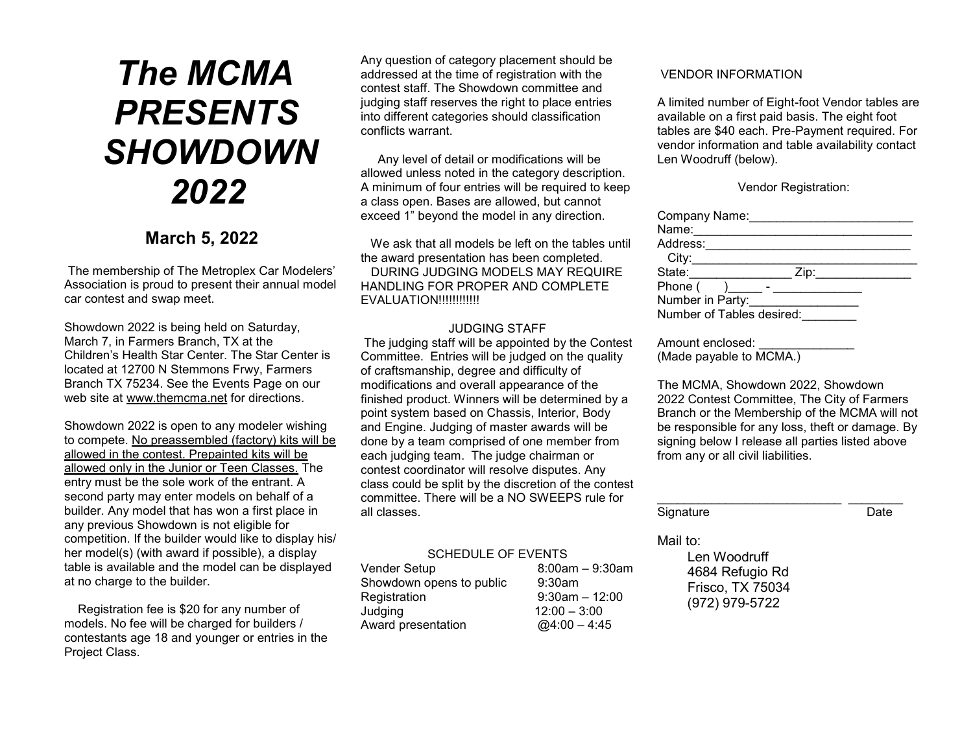# *The MCMA PRESENTS SHOWDOWN 2022*

# **March 5, 2022**

The membership of The Metroplex Car Modelers' Association is proud to present their annual model car contest and swap meet.

Showdown 2022 is being held on Saturday, March 7, in Farmers Branch, TX at the Children's Health Star Center. The Star Center is located at 12700 N Stemmons Frwy, Farmers Branch TX 75234. See the Events Page on our web site at www.themcma.net for directions.

Showdown 2022 is open to any modeler wishing to compete. No preassembled (factory) kits will be allowed in the contest. Prepainted kits will be allowed only in the Junior or Teen Classes. The entry must be the sole work of the entrant. A second party may enter models on behalf of a builder. Any model that has won a first place in any previous Showdown is not eligible for competition. If the builder would like to display his/ her model(s) (with award if possible), a display table is available and the model can be displayed at no charge to the builder.

 Registration fee is \$20 for any number of models. No fee will be charged for builders / contestants age 18 and younger or entries in the Project Class.

Any question of category placement should be addressed at the time of registration with the contest staff. The Showdown committee and judging staff reserves the right to place entries into different categories should classification conflicts warrant.

 Any level of detail or modifications will be allowed unless noted in the category description. A minimum of four entries will be required to keep a class open. Bases are allowed, but cannot exceed 1" beyond the model in any direction.

We ask that all models be left on the tables until the award presentation has been completed. DURING JUDGING MODELS MAY REQUIRE HANDLING FOR PROPER AND COMPLETE EVALUATION!!!!!!!!!!!!!

#### JUDGING STAFF

The judging staff will be appointed by the Contest Committee. Entries will be judged on the quality of craftsmanship, degree and difficulty of modifications and overall appearance of the finished product. Winners will be determined by a point system based on Chassis, Interior, Body and Engine. Judging of master awards will be done by a team comprised of one member from each judging team. The judge chairman or contest coordinator will resolve disputes. Any class could be split by the discretion of the contest committee. There will be a NO SWEEPS rule for all classes.

## SCHEDULE OF EVENTS

Vender Setup 8:00am – 9:30am Showdown opens to public 9:30am Registration 9:30am – 12:00 Judging 12:00 – 3:00 Award presentation  $@4:00 - 4:45$ 

#### VENDOR INFORMATION

A limited number of Eight-foot Vendor tables are available on a first paid basis. The eight foot tables are \$40 each. Pre-Payment required. For vendor information and table availability contact Len Woodruff (below).

Vendor Registration:

| Company Name: Company Name: |      |  |
|-----------------------------|------|--|
| Name:                       |      |  |
| Address:                    |      |  |
| City:                       |      |  |
| State: _________            | Zip: |  |
| Phone (<br>) —- $-$         |      |  |
| Number in Party:            |      |  |
| Number of Tables desired:   |      |  |
|                             |      |  |

Amount enclosed: (Made payable to MCMA.)

The MCMA, Showdown 2022, Showdown 2022 Contest Committee, The City of Farmers Branch or the Membership of the MCMA will not be responsible for any loss, theft or damage. By signing below I release all parties listed above from any or all civil liabilities.

\_\_\_\_\_\_\_\_\_\_\_\_\_\_\_\_\_\_\_\_\_\_\_\_\_\_\_ \_\_\_\_\_\_\_\_

Signature Date

Mail to:

 Len Woodruff 4684 Refugio Rd Frisco, TX 75034 (972) 979-5722